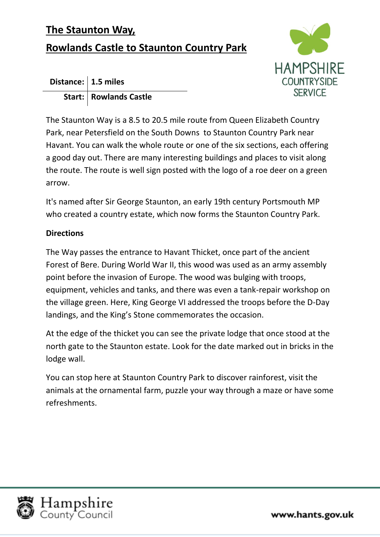## **The Staunton Way,**

## **Rowlands Castle to Staunton Country Park**



| Distance: $ 1.5$ miles |                          |
|------------------------|--------------------------|
|                        | Start:   Rowlands Castle |

The Staunton Way is a 8.5 to 20.5 mile route from Queen Elizabeth Country Park, near Petersfield on the South Downs to Staunton Country Park near Havant. You can walk the whole route or one of the six sections, each offering a good day out. There are many interesting buildings and places to visit along the route. The route is well sign posted with the logo of a roe deer on a green arrow.

It's named after Sir George Staunton, an early 19th century Portsmouth MP who created a country estate, which now forms the Staunton Country Park.

## **Directions**

The Way passes the entrance to Havant Thicket, once part of the ancient Forest of Bere. During World War II, this wood was used as an army assembly point before the invasion of Europe. The wood was bulging with troops, equipment, vehicles and tanks, and there was even a tank-repair workshop on the village green. Here, King George VI addressed the troops before the D-Day landings, and the King's Stone commemorates the occasion.

At the edge of the thicket you can see the private lodge that once stood at the north gate to the Staunton estate. Look for the date marked out in bricks in the lodge wall.

You can stop here at Staunton Country Park to discover rainforest, visit the animals at the ornamental farm, puzzle your way through a maze or have some refreshments.



www.hants.gov.uk